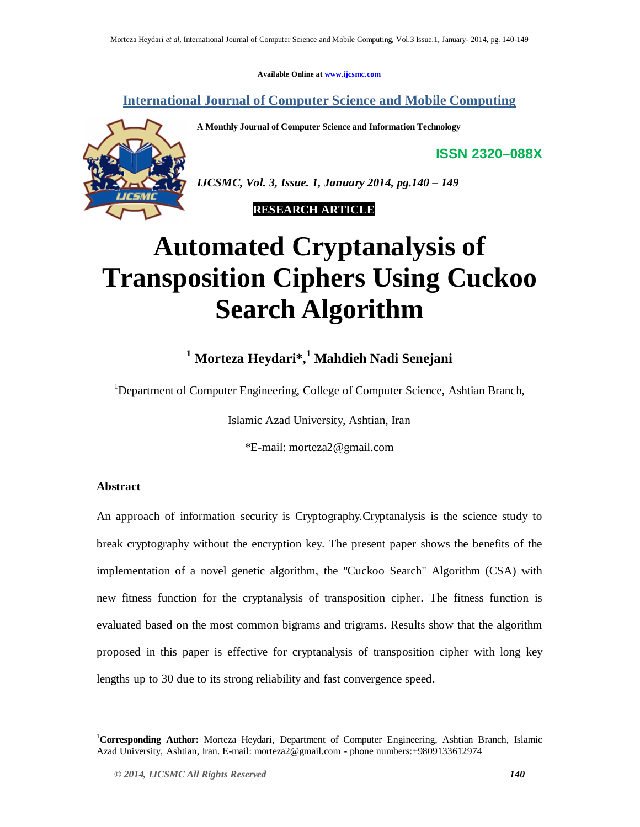**Available Online at www.ijcsmc.com**

## **International Journal of Computer Science and Mobile Computing**

**A Monthly Journal of Computer Science and Information Technology**

**ISSN 2320–088X**



*IJCSMC, Vol. 3, Issue. 1, January 2014, pg.140 – 149*

 **RESEARCH ARTICLE**

# **Automated Cryptanalysis of Transposition Ciphers Using Cuckoo Search Algorithm**

## **<sup>1</sup> Morteza Heydari\*, <sup>1</sup> Mahdieh Nadi Senejani**

<sup>1</sup>Department of Computer Engineering, College of Computer Science, Ashtian Branch,

Islamic Azad University, Ashtian, Iran

\*E-mail: morteza2@gmail.com

## **Abstract**

An approach of information security is Cryptography.Cryptanalysis is the science study to break cryptography without the encryption key. The present paper shows the benefits of the implementation of a novel genetic algorithm, the "Cuckoo Search" Algorithm (CSA) with new fitness function for the cryptanalysis of transposition cipher. The fitness function is evaluated based on the most common bigrams and trigrams. Results show that the algorithm proposed in this paper is effective for cryptanalysis of transposition cipher with long key lengths up to 30 due to its strong reliability and fast convergence speed.

-

<sup>1</sup>**Corresponding Author:** Morteza Heydari, Department of Computer Engineering, Ashtian Branch, Islamic Azad University, Ashtian, Iran. E-mail: morteza2@gmail.com - phone numbers:+9809133612974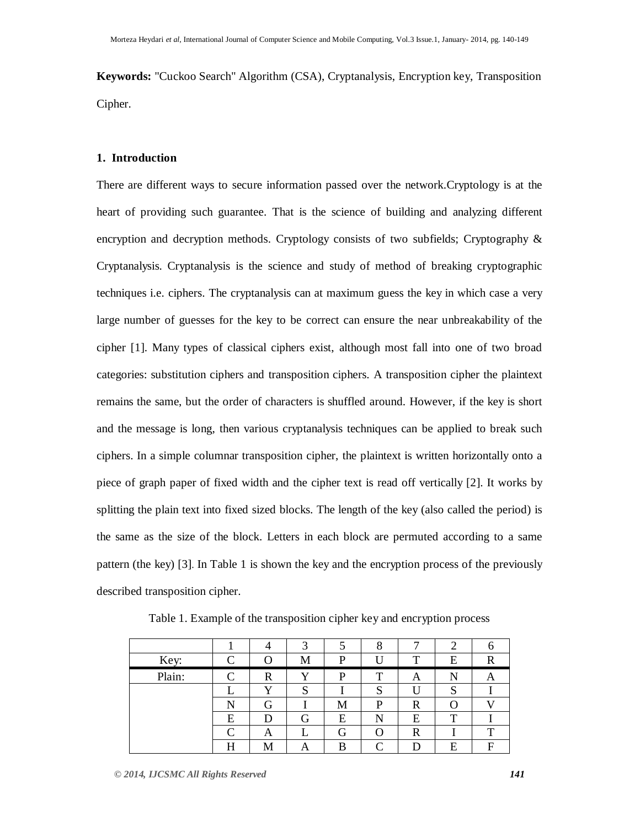**Keywords:** "Cuckoo Search" Algorithm (CSA), Cryptanalysis, Encryption key, Transposition Cipher.

## **1. Introduction**

There are different ways to secure information passed over the network.Cryptology is at the heart of providing such guarantee. That is the science of building and analyzing different encryption and decryption methods. Cryptology consists of two subfields; Cryptography  $\&$ Cryptanalysis. Cryptanalysis is the science and study of method of breaking cryptographic techniques i.e. ciphers. The cryptanalysis can at maximum guess the key in which case a very large number of guesses for the key to be correct can ensure the near unbreakability of the cipher [1]. Many types of classical ciphers exist, although most fall into one of two broad categories: substitution ciphers and transposition ciphers. A transposition cipher the plaintext remains the same, but the order of characters is shuffled around. However, if the key is short and the message is long, then various cryptanalysis techniques can be applied to break such ciphers. In a simple columnar transposition cipher, the plaintext is written horizontally onto a piece of graph paper of fixed width and the cipher text is read off vertically [2]. It works by splitting the plain text into fixed sized blocks. The length of the key (also called the period) is the same as the size of the block. Letters in each block are permuted according to a same pattern (the key) [3]. In Table 1 is shown the key and the encryption process of the previously described transposition cipher.

| Key:   | C                 |   | M | P | Ħ | T           | E                | D |
|--------|-------------------|---|---|---|---|-------------|------------------|---|
| Plain: | $\subset$         | R |   | P | ௱ | A           | N                | О |
|        |                   | v | S |   | S |             | c<br>د           |   |
|        |                   | G |   | М | P | $\mathbf R$ | $\left( \right)$ |   |
|        | E                 | D | G | E | N | E           | т                |   |
|        | $\mathsf{\Gamma}$ | Α |   | G |   | $\mathbf R$ |                  | m |
|        | Η                 |   |   | B |   |             | E                | F |

Table 1. Example of the transposition cipher key and encryption process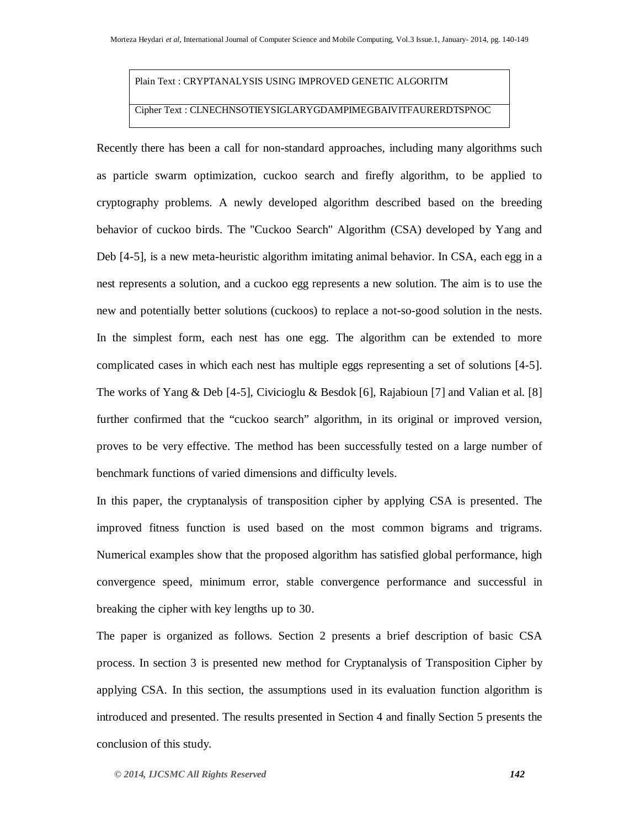## Plain Text : CRYPTANALYSIS USING IMPROVED GENETIC ALGORITM

## Cipher Text : CLNECHNSOTIEYSIGLARYGDAMPIMEGBAIVITFAURERDTSPNOC

Recently there has been a call for non-standard approaches, including many algorithms such as particle swarm optimization, cuckoo search and firefly algorithm, to be applied to cryptography problems. A newly developed algorithm described based on the breeding behavior of cuckoo birds. The "Cuckoo Search" Algorithm (CSA) developed by Yang and Deb [4-5], is a new meta-heuristic algorithm imitating animal behavior. In CSA, each egg in a nest represents a solution, and a cuckoo egg represents a new solution. The aim is to use the new and potentially better solutions (cuckoos) to replace a not-so-good solution in the nests. In the simplest form, each nest has one egg. The algorithm can be extended to more complicated cases in which each nest has multiple eggs representing a set of solutions [4-5]. The works of Yang & Deb [4-5], Civicioglu & Besdok [6], Rajabioun [7] and Valian et al. [8] further confirmed that the "cuckoo search" algorithm, in its original or improved version, proves to be very effective. The method has been successfully tested on a large number of benchmark functions of varied dimensions and difficulty levels.

In this paper, the cryptanalysis of transposition cipher by applying CSA is presented. The improved fitness function is used based on the most common bigrams and trigrams. Numerical examples show that the proposed algorithm has satisfied global performance, high convergence speed, minimum error, stable convergence performance and successful in breaking the cipher with key lengths up to 30.

The paper is organized as follows. Section 2 presents a brief description of basic CSA process. In section 3 is presented new method for Cryptanalysis of Transposition Cipher by applying CSA. In this section, the assumptions used in its evaluation function algorithm is introduced and presented. The results presented in Section 4 and finally Section 5 presents the conclusion of this study.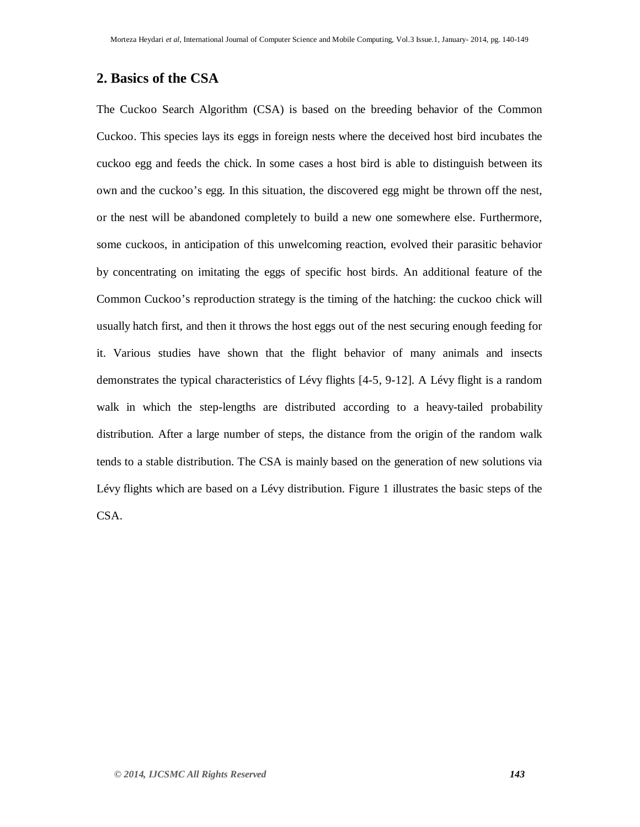## **2. Basics of the CSA**

The Cuckoo Search Algorithm (CSA) is based on the breeding behavior of the Common Cuckoo. This species lays its eggs in foreign nests where the deceived host bird incubates the cuckoo egg and feeds the chick. In some cases a host bird is able to distinguish between its own and the cuckoo's egg. In this situation, the discovered egg might be thrown off the nest, or the nest will be abandoned completely to build a new one somewhere else. Furthermore, some cuckoos, in anticipation of this unwelcoming reaction, evolved their parasitic behavior by concentrating on imitating the eggs of specific host birds. An additional feature of the Common Cuckoo's reproduction strategy is the timing of the hatching: the cuckoo chick will usually hatch first, and then it throws the host eggs out of the nest securing enough feeding for it. Various studies have shown that the flight behavior of many animals and insects demonstrates the typical characteristics of Lévy flights [4-5, 9-12]. A Lévy flight is a random walk in which the step-lengths are distributed according to a heavy-tailed probability distribution. After a large number of steps, the distance from the origin of the random walk tends to a stable distribution. The CSA is mainly based on the generation of new solutions via Lévy flights which are based on a Lévy distribution. Figure 1 illustrates the basic steps of the CSA.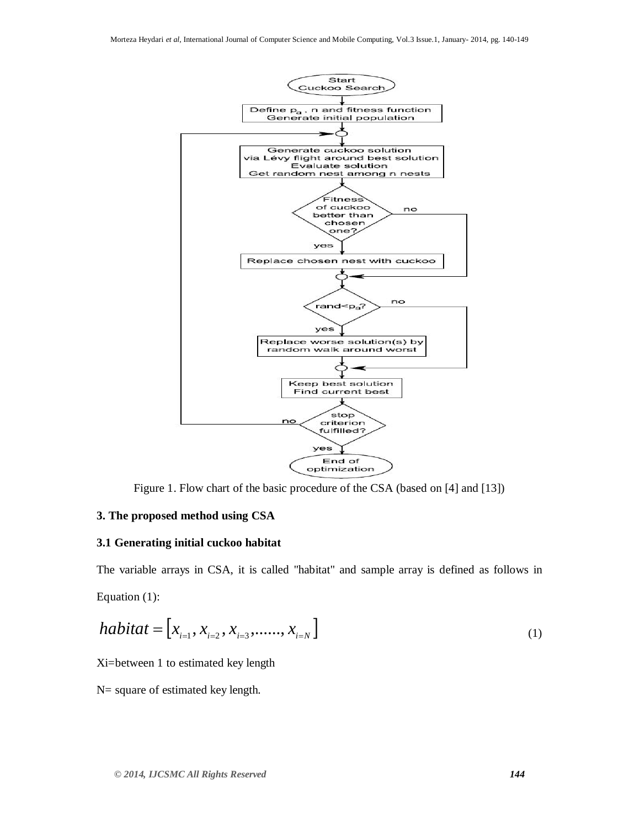

Figure 1. Flow chart of the basic procedure of the CSA (based on [4] and [13])

#### **3. The proposed method using CSA**

#### **3.1 Generating initial cuckoo habitat**

The variable arrays in CSA, it is called "habitat" and sample array is defined as follows in Equation (1):

$$
habitat = [x_{i=1}, x_{i=2}, x_{i=3}, \dots, x_{i=N}]
$$
\n(1)

Xi=between 1 to estimated key length

N= square of estimated key length.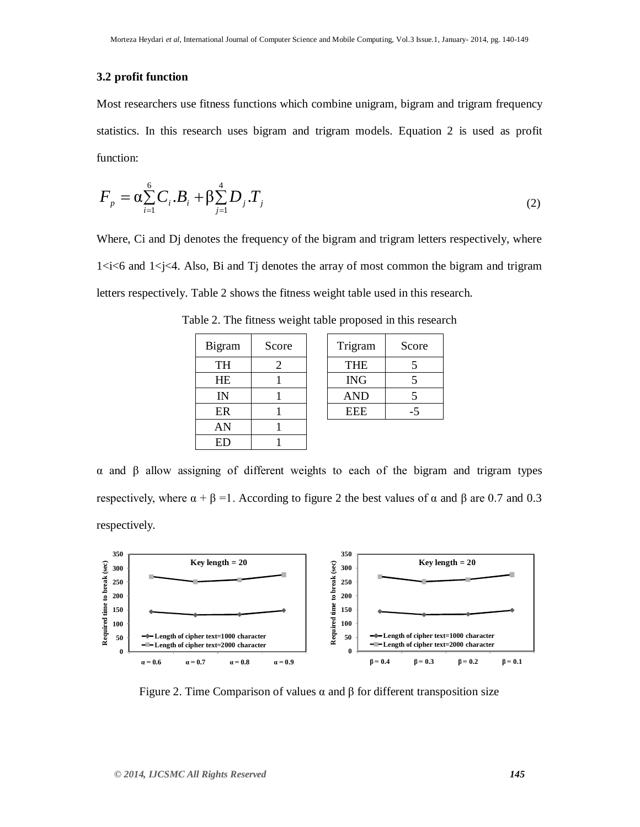## **3.2 profit function**

Most researchers use fitness functions which combine unigram, bigram and trigram frequency statistics. In this research uses bigram and trigram models. Equation 2 is used as profit function:

$$
F_{p} = \alpha \sum_{i=1}^{6} C_{i} B_{i} + \beta \sum_{j=1}^{4} D_{j} T_{j}
$$
 (2)

Where, Ci and Dj denotes the frequency of the bigram and trigram letters respectively, where  $1 \le i \le 6$  and  $1 \le i \le 4$ . Also, Bi and Tj denotes the array of most common the bigram and trigram letters respectively. Table 2 shows the fitness weight table used in this research.

| Bigram | Score |
|--------|-------|
| TH     | 2     |
| HE     |       |
| IN     |       |
| ER     |       |
| AN     |       |
| ED     |       |

| Table 2. The fitness weight table proposed in this research |  |  |  |  |
|-------------------------------------------------------------|--|--|--|--|
|-------------------------------------------------------------|--|--|--|--|

| Bigram     | Score | Trigram    | Score |
|------------|-------|------------|-------|
| TH         |       | <b>THE</b> |       |
| <b>HE</b>  |       | <b>ING</b> |       |
| IN         |       | <b>AND</b> |       |
| ER         |       | EEE        |       |
| <b>ANT</b> |       |            |       |

 $α$  and  $β$  allow assigning of different weights to each of the bigram and trigram types respectively, where  $\alpha + \beta = 1$ . According to figure 2 the best values of α and β are 0.7 and 0.3 respectively.



Figure 2. Time Comparison of values  $\alpha$  and  $\beta$  for different transposition size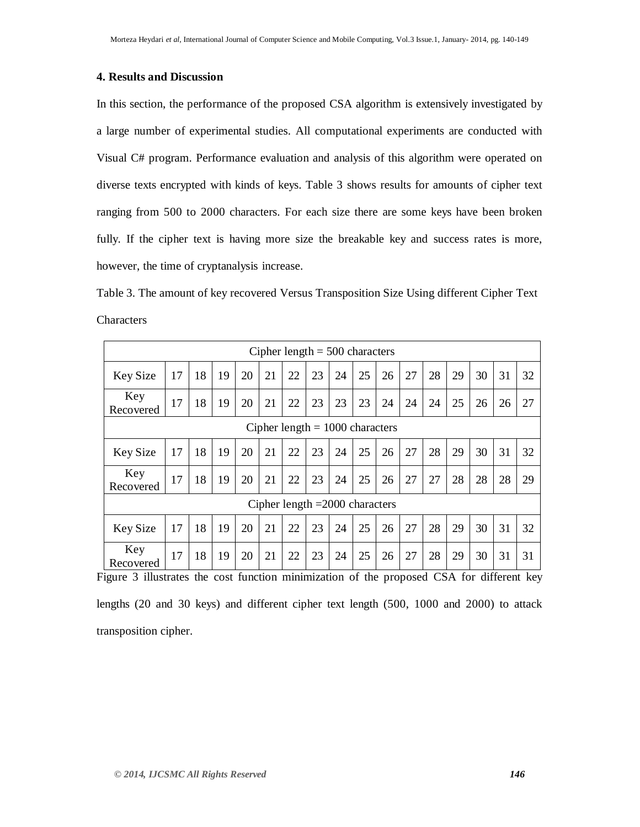## **4. Results and Discussion**

In this section, the performance of the proposed CSA algorithm is extensively investigated by a large number of experimental studies. All computational experiments are conducted with Visual C# program. Performance evaluation and analysis of this algorithm were operated on diverse texts encrypted with kinds of keys. Table 3 shows results for amounts of cipher text ranging from 500 to 2000 characters. For each size there are some keys have been broken fully. If the cipher text is having more size the breakable key and success rates is more, however, the time of cryptanalysis increase.

Table 3. The amount of key recovered Versus Transposition Size Using different Cipher Text Characters

| Cipher length $= 500$ characters |                                   |    |    |    |    |    |    |    |    |    |    |    |    |    |    |    |
|----------------------------------|-----------------------------------|----|----|----|----|----|----|----|----|----|----|----|----|----|----|----|
| Key Size                         | 17                                | 18 | 19 | 20 | 21 | 22 | 23 | 24 | 25 | 26 | 27 | 28 | 29 | 30 | 31 | 32 |
| Key<br>Recovered                 | 17                                | 18 | 19 | 20 | 21 | 22 | 23 | 23 | 23 | 24 | 24 | 24 | 25 | 26 | 26 | 27 |
|                                  | Cipher length $= 1000$ characters |    |    |    |    |    |    |    |    |    |    |    |    |    |    |    |
| Key Size                         | 17                                | 18 | 19 | 20 | 21 | 22 | 23 | 24 | 25 | 26 | 27 | 28 | 29 | 30 | 31 | 32 |
| Key<br>Recovered                 | 17                                | 18 | 19 | 20 | 21 | 22 | 23 | 24 | 25 | 26 | 27 | 27 | 28 | 28 | 28 | 29 |
| Cipher length $=2000$ characters |                                   |    |    |    |    |    |    |    |    |    |    |    |    |    |    |    |
| Key Size                         | 17                                | 18 | 19 | 20 | 21 | 22 | 23 | 24 | 25 | 26 | 27 | 28 | 29 | 30 | 31 | 32 |
| Key<br>Recovered                 | 17                                | 18 | 19 | 20 | 21 | 22 | 23 | 24 | 25 | 26 | 27 | 28 | 29 | 30 | 31 | 31 |

Figure 3 illustrates the cost function minimization of the proposed CSA for different key lengths (20 and 30 keys) and different cipher text length (500, 1000 and 2000) to attack transposition cipher.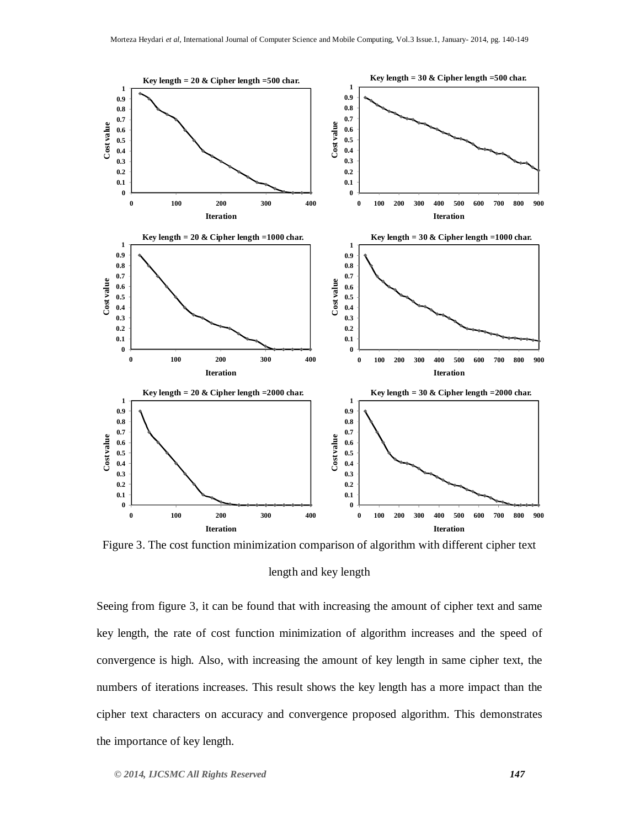

Figure 3. The cost function minimization comparison of algorithm with different cipher text length and key length

Seeing from figure 3, it can be found that with increasing the amount of cipher text and same key length, the rate of cost function minimization of algorithm increases and the speed of convergence is high. Also, with increasing the amount of key length in same cipher text, the numbers of iterations increases. This result shows the key length has a more impact than the cipher text characters on accuracy and convergence proposed algorithm. This demonstrates the importance of key length.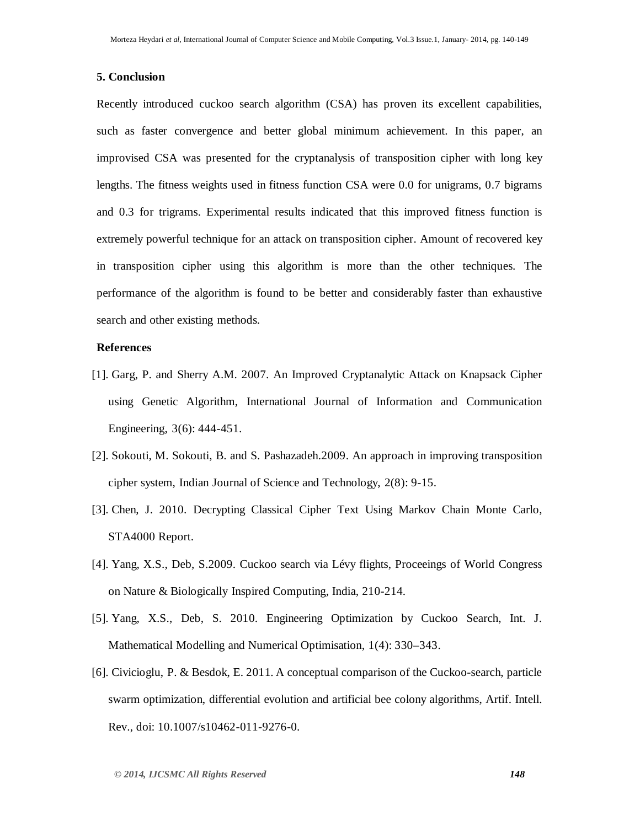#### **5. Conclusion**

Recently introduced cuckoo search algorithm (CSA) has proven its excellent capabilities, such as faster convergence and better global minimum achievement. In this paper, an improvised CSA was presented for the cryptanalysis of transposition cipher with long key lengths. The fitness weights used in fitness function CSA were 0.0 for unigrams, 0.7 bigrams and 0.3 for trigrams. Experimental results indicated that this improved fitness function is extremely powerful technique for an attack on transposition cipher. Amount of recovered key in transposition cipher using this algorithm is more than the other techniques. The performance of the algorithm is found to be better and considerably faster than exhaustive search and other existing methods.

#### **References**

- [1]. Garg, P. and Sherry A.M. 2007. An Improved Cryptanalytic Attack on Knapsack Cipher using Genetic Algorithm, International Journal of Information and Communication Engineering, 3(6): 444-451.
- [2]. Sokouti, M. Sokouti, B. and S. Pashazadeh.2009. An approach in improving transposition cipher system, Indian Journal of Science and Technology, 2(8): 9-15.
- [3]. Chen, J. 2010. Decrypting Classical Cipher Text Using Markov Chain Monte Carlo, STA4000 Report.
- [4]. Yang, X.S., Deb, S.2009. Cuckoo search via Lévy flights, Proceeings of World Congress on Nature & Biologically Inspired Computing, India, 210-214.
- [5]. Yang, X.S., Deb, S. 2010. Engineering Optimization by Cuckoo Search, Int. J. Mathematical Modelling and Numerical Optimisation, 1(4): 330–343.
- [6]. Civicioglu, P. & Besdok, E. 2011. A conceptual comparison of the Cuckoo-search, particle swarm optimization, differential evolution and artificial bee colony algorithms, Artif. Intell. Rev., doi: 10.1007/s10462-011-9276-0.